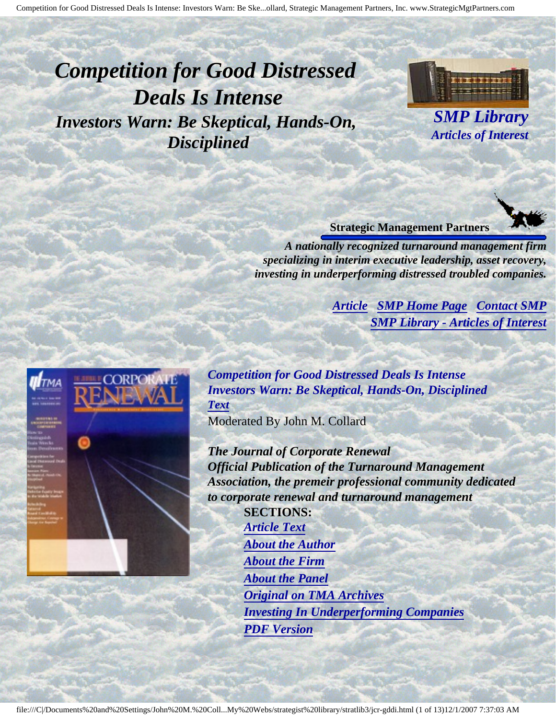# <span id="page-0-4"></span><span id="page-0-3"></span>*Competition for Good Distressed Deals Is Intense Investors Warn: Be Skeptical, Hands-On, Disciplined*



*SMP Library Articles of Interest*



*A nationally recognized turnaround management firm specializing in interim executive leadership, asset recovery, investing in underperforming distressed troubled companies.*

> *[Article](#page-0-0) [SMP Home Page](http://members.aol.com/strategist/home.html#TOP) [Contact SMP](#page-11-0) [SMP Library - Articles of Interest](http://members.aol.com/stratlib3/libindx.html#TOP)*

<span id="page-0-2"></span><span id="page-0-0"></span>

*Competition for Good Distressed Deals Is Intense Investors Warn: Be Skeptical, Hands-On, Disciplined [Text](#page-0-1)* Moderated By John M. Collard

*The Journal of Corporate Renewal Official Publication of the Turnaround Management Association, the premeir professional community dedicated to corporate renewal and turnaround management* **SECTIONS:** *[Article Text](#page-0-1) [About the Author](#page-10-0) [About the Firm](#page-10-1)*

<span id="page-0-1"></span>*[About the Panel](#page-7-0) [Original on TMA Archives](#page-9-0) [Investing In Underperforming Companies](#page-9-1) [PDF Version](http://members.aol.com/stratlib/jcr-gddi.pdf)*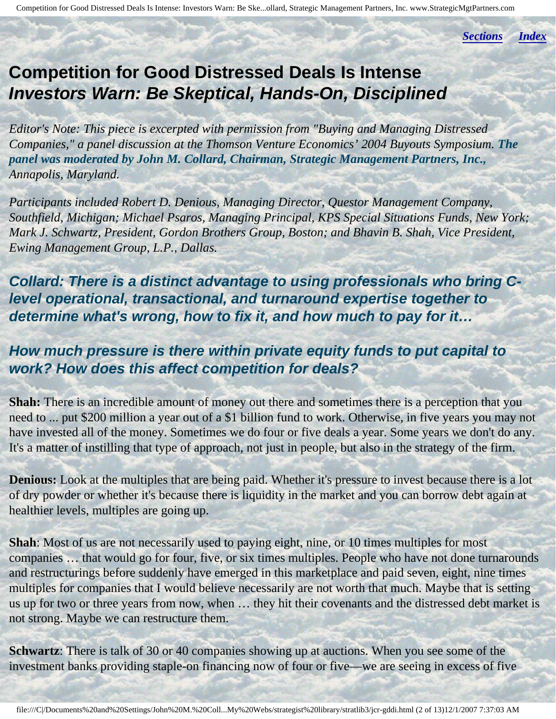*[Sections](#page-0-2) [Index](#page-0-3)*

## **Competition for Good Distressed Deals Is Intense Investors Warn: Be Skeptical, Hands-On, Disciplined**

*Editor's Note: This piece is excerpted with permission from "Buying and Managing Distressed Companies," a panel discussion at the Thomson Venture Economics' 2004 Buyouts Symposium. The panel was moderated by John M. Collard, Chairman, Strategic Management Partners, Inc., Annapolis, Maryland.*

*Participants included Robert D. Denious, Managing Director, Questor Management Company, Southfield, Michigan; Michael Psaros, Managing Principal, KPS Special Situations Funds, New York; Mark J. Schwartz, President, Gordon Brothers Group, Boston; and Bhavin B. Shah, Vice President, Ewing Management Group, L.P., Dallas.*

**Collard: There is a distinct advantage to using professionals who bring Clevel operational, transactional, and turnaround expertise together to determine what's wrong, how to fix it, and how much to pay for it…**

#### **How much pressure is there within private equity funds to put capital to work? How does this affect competition for deals?**

**Shah:** There is an incredible amount of money out there and sometimes there is a perception that you need to ... put \$200 million a year out of a \$1 billion fund to work. Otherwise, in five years you may not have invested all of the money. Sometimes we do four or five deals a year. Some years we don't do any. It's a matter of instilling that type of approach, not just in people, but also in the strategy of the firm.

**Denious:** Look at the multiples that are being paid. Whether it's pressure to invest because there is a lot of dry powder or whether it's because there is liquidity in the market and you can borrow debt again at healthier levels, multiples are going up.

**Shah**: Most of us are not necessarily used to paying eight, nine, or 10 times multiples for most companies … that would go for four, five, or six times multiples. People who have not done turnarounds and restructurings before suddenly have emerged in this marketplace and paid seven, eight, nine times multiples for companies that I would believe necessarily are not worth that much. Maybe that is setting us up for two or three years from now, when … they hit their covenants and the distressed debt market is not strong. Maybe we can restructure them.

**Schwartz**: There is talk of 30 or 40 companies showing up at auctions. When you see some of the investment banks providing staple-on financing now of four or five—we are seeing in excess of five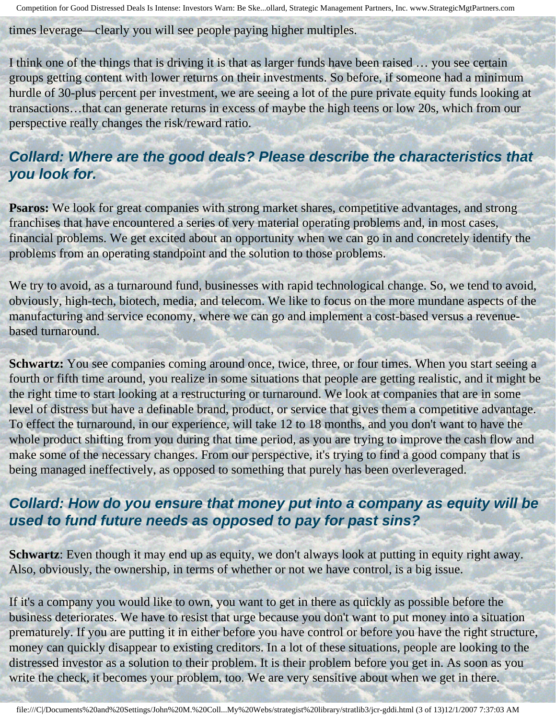times leverage—clearly you will see people paying higher multiples.

I think one of the things that is driving it is that as larger funds have been raised … you see certain groups getting content with lower returns on their investments. So before, if someone had a minimum hurdle of 30-plus percent per investment, we are seeing a lot of the pure private equity funds looking at transactions…that can generate returns in excess of maybe the high teens or low 20s, which from our perspective really changes the risk/reward ratio.

#### **Collard: Where are the good deals? Please describe the characteristics that you look for.**

**Psaros:** We look for great companies with strong market shares, competitive advantages, and strong franchises that have encountered a series of very material operating problems and, in most cases, financial problems. We get excited about an opportunity when we can go in and concretely identify the problems from an operating standpoint and the solution to those problems.

We try to avoid, as a turnaround fund, businesses with rapid technological change. So, we tend to avoid, obviously, high-tech, biotech, media, and telecom. We like to focus on the more mundane aspects of the manufacturing and service economy, where we can go and implement a cost-based versus a revenuebased turnaround.

**Schwartz:** You see companies coming around once, twice, three, or four times. When you start seeing a fourth or fifth time around, you realize in some situations that people are getting realistic, and it might be the right time to start looking at a restructuring or turnaround. We look at companies that are in some level of distress but have a definable brand, product, or service that gives them a competitive advantage. To effect the turnaround, in our experience, will take 12 to 18 months, and you don't want to have the whole product shifting from you during that time period, as you are trying to improve the cash flow and make some of the necessary changes. From our perspective, it's trying to find a good company that is being managed ineffectively, as opposed to something that purely has been overleveraged.

## **Collard: How do you ensure that money put into a company as equity will be used to fund future needs as opposed to pay for past sins?**

**Schwartz**: Even though it may end up as equity, we don't always look at putting in equity right away. Also, obviously, the ownership, in terms of whether or not we have control, is a big issue.

If it's a company you would like to own, you want to get in there as quickly as possible before the business deteriorates. We have to resist that urge because you don't want to put money into a situation prematurely. If you are putting it in either before you have control or before you have the right structure, money can quickly disappear to existing creditors. In a lot of these situations, people are looking to the distressed investor as a solution to their problem. It is their problem before you get in. As soon as you write the check, it becomes your problem, too. We are very sensitive about when we get in there.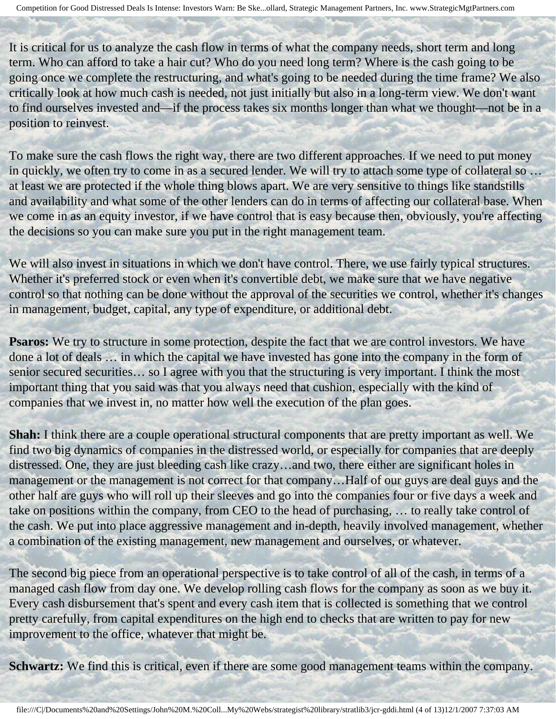It is critical for us to analyze the cash flow in terms of what the company needs, short term and long term. Who can afford to take a hair cut? Who do you need long term? Where is the cash going to be going once we complete the restructuring, and what's going to be needed during the time frame? We also critically look at how much cash is needed, not just initially but also in a long-term view. We don't want to find ourselves invested and—if the process takes six months longer than what we thought—not be in a position to reinvest.

To make sure the cash flows the right way, there are two different approaches. If we need to put money in quickly, we often try to come in as a secured lender. We will try to attach some type of collateral so ... at least we are protected if the whole thing blows apart. We are very sensitive to things like standstills and availability and what some of the other lenders can do in terms of affecting our collateral base. When we come in as an equity investor, if we have control that is easy because then, obviously, you're affecting the decisions so you can make sure you put in the right management team.

We will also invest in situations in which we don't have control. There, we use fairly typical structures. Whether it's preferred stock or even when it's convertible debt, we make sure that we have negative control so that nothing can be done without the approval of the securities we control, whether it's changes in management, budget, capital, any type of expenditure, or additional debt.

**Psaros:** We try to structure in some protection, despite the fact that we are control investors. We have done a lot of deals … in which the capital we have invested has gone into the company in the form of senior secured securities... so I agree with you that the structuring is very important. I think the most important thing that you said was that you always need that cushion, especially with the kind of companies that we invest in, no matter how well the execution of the plan goes.

**Shah:** I think there are a couple operational structural components that are pretty important as well. We find two big dynamics of companies in the distressed world, or especially for companies that are deeply distressed. One, they are just bleeding cash like crazy…and two, there either are significant holes in management or the management is not correct for that company…Half of our guys are deal guys and the other half are guys who will roll up their sleeves and go into the companies four or five days a week and take on positions within the company, from CEO to the head of purchasing, … to really take control of the cash. We put into place aggressive management and in-depth, heavily involved management, whether a combination of the existing management, new management and ourselves, or whatever.

The second big piece from an operational perspective is to take control of all of the cash, in terms of a managed cash flow from day one. We develop rolling cash flows for the company as soon as we buy it. Every cash disbursement that's spent and every cash item that is collected is something that we control pretty carefully, from capital expenditures on the high end to checks that are written to pay for new improvement to the office, whatever that might be.

**Schwartz:** We find this is critical, even if there are some good management teams within the company.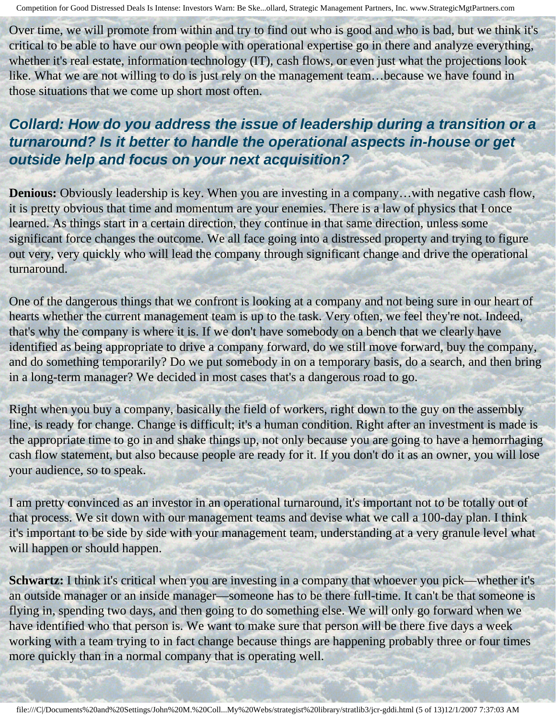Over time, we will promote from within and try to find out who is good and who is bad, but we think it's critical to be able to have our own people with operational expertise go in there and analyze everything, whether it's real estate, information technology (IT), cash flows, or even just what the projections look like. What we are not willing to do is just rely on the management team...because we have found in those situations that we come up short most often.

## **Collard: How do you address the issue of leadership during a transition or a turnaround? Is it better to handle the operational aspects in-house or get outside help and focus on your next acquisition?**

**Denious:** Obviously leadership is key. When you are investing in a company... with negative cash flow, it is pretty obvious that time and momentum are your enemies. There is a law of physics that I once learned. As things start in a certain direction, they continue in that same direction, unless some significant force changes the outcome. We all face going into a distressed property and trying to figure out very, very quickly who will lead the company through significant change and drive the operational turnaround.

One of the dangerous things that we confront is looking at a company and not being sure in our heart of hearts whether the current management team is up to the task. Very often, we feel they're not. Indeed, that's why the company is where it is. If we don't have somebody on a bench that we clearly have identified as being appropriate to drive a company forward, do we still move forward, buy the company, and do something temporarily? Do we put somebody in on a temporary basis, do a search, and then bring in a long-term manager? We decided in most cases that's a dangerous road to go.

Right when you buy a company, basically the field of workers, right down to the guy on the assembly line, is ready for change. Change is difficult; it's a human condition. Right after an investment is made is the appropriate time to go in and shake things up, not only because you are going to have a hemorrhaging cash flow statement, but also because people are ready for it. If you don't do it as an owner, you will lose your audience, so to speak.

I am pretty convinced as an investor in an operational turnaround, it's important not to be totally out of that process. We sit down with our management teams and devise what we call a 100-day plan. I think it's important to be side by side with your management team, understanding at a very granule level what will happen or should happen.

**Schwartz:** I think it's critical when you are investing in a company that whoever you pick—whether it's an outside manager or an inside manager—someone has to be there full-time. It can't be that someone is flying in, spending two days, and then going to do something else. We will only go forward when we have identified who that person is. We want to make sure that person will be there five days a week working with a team trying to in fact change because things are happening probably three or four times more quickly than in a normal company that is operating well.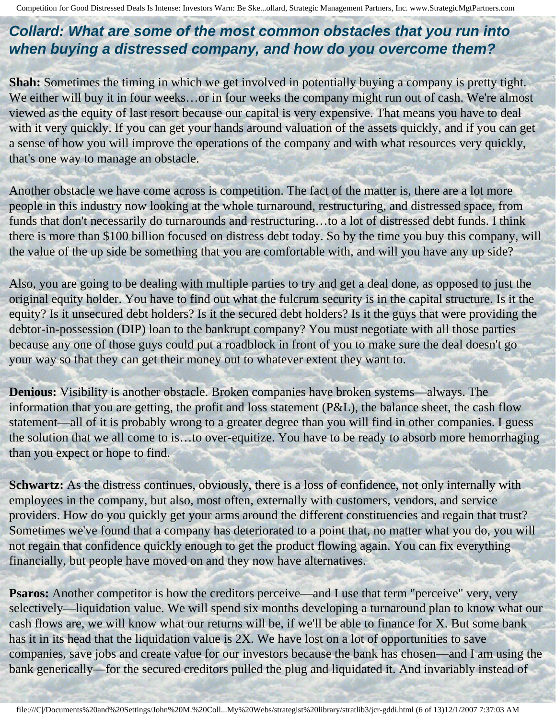## **Collard: What are some of the most common obstacles that you run into when buying a distressed company, and how do you overcome them?**

**Shah:** Sometimes the timing in which we get involved in potentially buying a company is pretty tight. We either will buy it in four weeks...or in four weeks the company might run out of cash. We're almost viewed as the equity of last resort because our capital is very expensive. That means you have to deal with it very quickly. If you can get your hands around valuation of the assets quickly, and if you can get a sense of how you will improve the operations of the company and with what resources very quickly, that's one way to manage an obstacle.

Another obstacle we have come across is competition. The fact of the matter is, there are a lot more people in this industry now looking at the whole turnaround, restructuring, and distressed space, from funds that don't necessarily do turnarounds and restructuring…to a lot of distressed debt funds. I think there is more than \$100 billion focused on distress debt today. So by the time you buy this company, will the value of the up side be something that you are comfortable with, and will you have any up side?

Also, you are going to be dealing with multiple parties to try and get a deal done, as opposed to just the original equity holder. You have to find out what the fulcrum security is in the capital structure. Is it the equity? Is it unsecured debt holders? Is it the secured debt holders? Is it the guys that were providing the debtor-in-possession (DIP) loan to the bankrupt company? You must negotiate with all those parties because any one of those guys could put a roadblock in front of you to make sure the deal doesn't go your way so that they can get their money out to whatever extent they want to.

**Denious:** Visibility is another obstacle. Broken companies have broken systems—always. The information that you are getting, the profit and loss statement (P&L), the balance sheet, the cash flow statement—all of it is probably wrong to a greater degree than you will find in other companies. I guess the solution that we all come to is…to over-equitize. You have to be ready to absorb more hemorrhaging than you expect or hope to find.

**Schwartz:** As the distress continues, obviously, there is a loss of confidence, not only internally with employees in the company, but also, most often, externally with customers, vendors, and service providers. How do you quickly get your arms around the different constituencies and regain that trust? Sometimes we've found that a company has deteriorated to a point that, no matter what you do, you will not regain that confidence quickly enough to get the product flowing again. You can fix everything financially, but people have moved on and they now have alternatives.

**Psaros:** Another competitor is how the creditors perceive—and I use that term "perceive" very, very selectively—liquidation value. We will spend six months developing a turnaround plan to know what our cash flows are, we will know what our returns will be, if we'll be able to finance for X. But some bank has it in its head that the liquidation value is 2X. We have lost on a lot of opportunities to save companies, save jobs and create value for our investors because the bank has chosen—and I am using the bank generically—for the secured creditors pulled the plug and liquidated it. And invariably instead of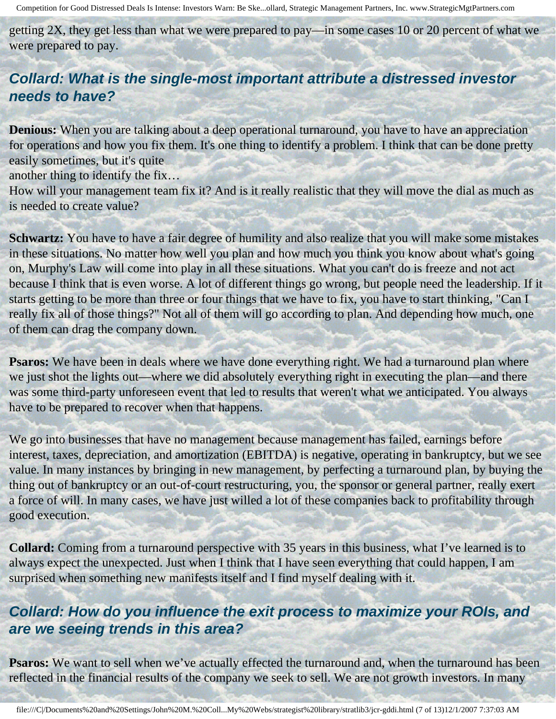getting 2X, they get less than what we were prepared to pay—in some cases 10 or 20 percent of what we were prepared to pay.

## **Collard: What is the single-most important attribute a distressed investor needs to have?**

**Denious:** When you are talking about a deep operational turnaround, you have to have an appreciation for operations and how you fix them. It's one thing to identify a problem. I think that can be done pretty easily sometimes, but it's quite

another thing to identify the fix…

How will your management team fix it? And is it really realistic that they will move the dial as much as is needed to create value?

**Schwartz:** You have to have a fair degree of humility and also realize that you will make some mistakes in these situations. No matter how well you plan and how much you think you know about what's going on, Murphy's Law will come into play in all these situations. What you can't do is freeze and not act because I think that is even worse. A lot of different things go wrong, but people need the leadership. If it starts getting to be more than three or four things that we have to fix, you have to start thinking, "Can I really fix all of those things?" Not all of them will go according to plan. And depending how much, one of them can drag the company down.

**Psaros:** We have been in deals where we have done everything right. We had a turnaround plan where we just shot the lights out—where we did absolutely everything right in executing the plan—and there was some third-party unforeseen event that led to results that weren't what we anticipated. You always have to be prepared to recover when that happens.

We go into businesses that have no management because management has failed, earnings before interest, taxes, depreciation, and amortization (EBITDA) is negative, operating in bankruptcy, but we see value. In many instances by bringing in new management, by perfecting a turnaround plan, by buying the thing out of bankruptcy or an out-of-court restructuring, you, the sponsor or general partner, really exert a force of will. In many cases, we have just willed a lot of these companies back to profitability through good execution.

**Collard:** Coming from a turnaround perspective with 35 years in this business, what I've learned is to always expect the unexpected. Just when I think that I have seen everything that could happen, I am surprised when something new manifests itself and I find myself dealing with it.

#### **Collard: How do you influence the exit process to maximize your ROIs, and are we seeing trends in this area?**

**Psaros:** We want to sell when we've actually effected the turnaround and, when the turnaround has been reflected in the financial results of the company we seek to sell. We are not growth investors. In many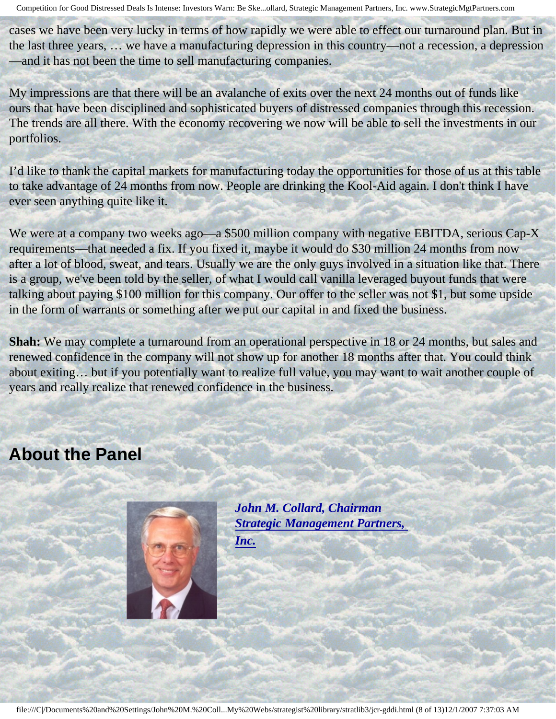cases we have been very lucky in terms of how rapidly we were able to effect our turnaround plan. But in the last three years, … we have a manufacturing depression in this country—not a recession, a depression —and it has not been the time to sell manufacturing companies.

My impressions are that there will be an avalanche of exits over the next 24 months out of funds like ours that have been disciplined and sophisticated buyers of distressed companies through this recession. The trends are all there. With the economy recovering we now will be able to sell the investments in our portfolios.

I'd like to thank the capital markets for manufacturing today the opportunities for those of us at this table to take advantage of 24 months from now. People are drinking the Kool-Aid again. I don't think I have ever seen anything quite like it.

We were at a company two weeks ago—a \$500 million company with negative EBITDA, serious Cap-X requirements—that needed a fix. If you fixed it, maybe it would do \$30 million 24 months from now after a lot of blood, sweat, and tears. Usually we are the only guys involved in a situation like that. There is a group, we've been told by the seller, of what I would call vanilla leveraged buyout funds that were talking about paying \$100 million for this company. Our offer to the seller was not \$1, but some upside in the form of warrants or something after we put our capital in and fixed the business.

**Shah:** We may complete a turnaround from an operational perspective in 18 or 24 months, but sales and renewed confidence in the company will not show up for another 18 months after that. You could think about exiting… but if you potentially want to realize full value, you may want to wait another couple of years and really realize that renewed confidence in the business.

# <span id="page-7-0"></span>**About the Panel**



*John M. Collard, Chairman [Strategic Management Partners,](http://members.aol.com/strategist/home.html) [Inc.](http://members.aol.com/strategist/home.html)*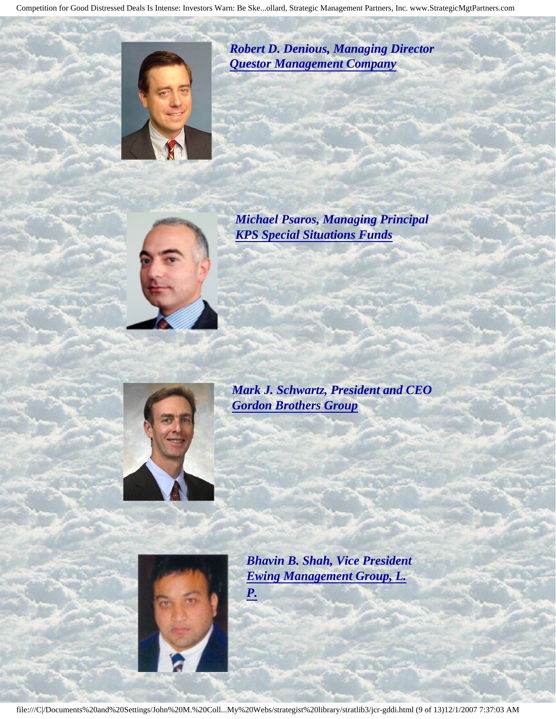

*Robert D. Denious, Managing Director [Questor Management Company](http://www.questorfund.com/)* 



*Michael Psaros, Managing Principal [KPS Special Situations Funds](http://www.kpsfund.com/)* 



*Mark J. Schwartz, President and CEO [Gordon Brothers Group](http://www.gordonbrothers.com/)* 



*Bhavin B. Shah, Vice President [Ewing Management Group, L.](http://www.emglp.com/) [P.](http://www.emglp.com/)* 

file:///C|/Documents%20and%20Settings/John%20M.%20Coll...My%20Webs/strategist%20library/stratlib3/jcr-gddi.html (9 of 13)12/1/2007 7:37:03 AM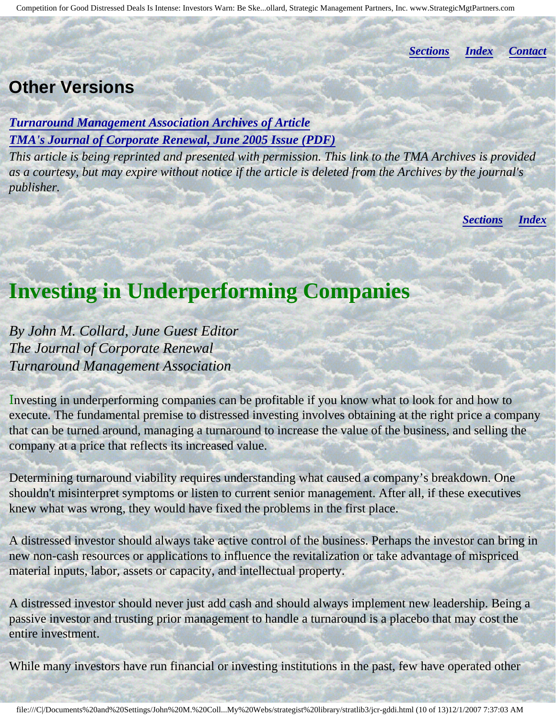*[Sections](#page-0-2) [Index](#page-0-3) [Contact](#page-11-0)*

# <span id="page-9-0"></span>**Other Versions**

*[Turnaround Management Association Archives of Article](http://www.turnaround.org/print/articles.asp?objectID=4667) [TMA's Journal of Corporate Renewal, June 2005 Issue \(PDF\)](http://members.aol.com/stratlib3/jcrjun05.jpg)*

*This article is being reprinted and presented with permission. This link to the TMA Archives is provided as a courtesy, but may expire without notice if the article is deleted from the Archives by the journal's publisher.*

*[Sections](#page-0-2) [Index](#page-0-3)*

# <span id="page-9-1"></span>**Investing in Underperforming Companies**

*By John M. Collard, June Guest Editor The Journal of Corporate Renewal Turnaround Management Association*

Investing in underperforming companies can be profitable if you know what to look for and how to execute. The fundamental premise to distressed investing involves obtaining at the right price a company that can be turned around, managing a turnaround to increase the value of the business, and selling the company at a price that reflects its increased value.

Determining turnaround viability requires understanding what caused a company's breakdown. One shouldn't misinterpret symptoms or listen to current senior management. After all, if these executives knew what was wrong, they would have fixed the problems in the first place.

A distressed investor should always take active control of the business. Perhaps the investor can bring in new non-cash resources or applications to influence the revitalization or take advantage of mispriced material inputs, labor, assets or capacity, and intellectual property.

A distressed investor should never just add cash and should always implement new leadership. Being a passive investor and trusting prior management to handle a turnaround is a placebo that may cost the entire investment.

While many investors have run financial or investing institutions in the past, few have operated other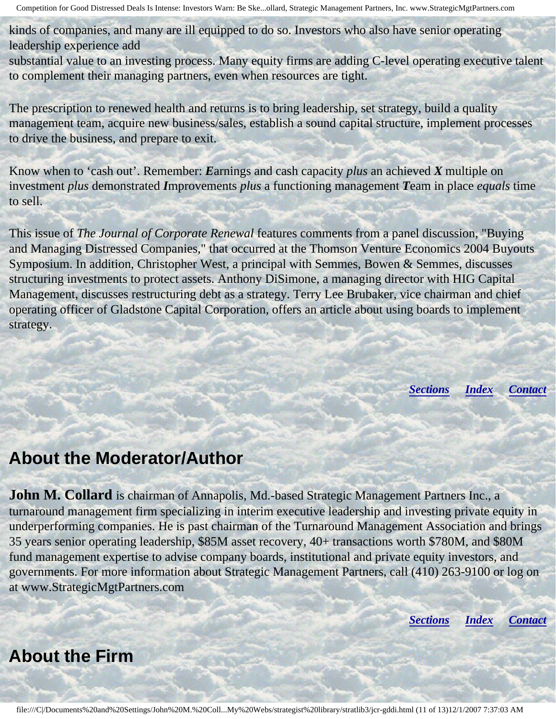kinds of companies, and many are ill equipped to do so. Investors who also have senior operating leadership experience add

substantial value to an investing process. Many equity firms are adding C-level operating executive talent to complement their managing partners, even when resources are tight.

The prescription to renewed health and returns is to bring leadership, set strategy, build a quality management team, acquire new business/sales, establish a sound capital structure, implement processes to drive the business, and prepare to exit.

Know when to 'cash out'. Remember: *E*arnings and cash capacity *plus* an achieved *X* multiple on investment *plus* demonstrated *I*mprovements *plus* a functioning management *T*eam in place *equals* time to sell.

This issue of *The Journal of Corporate Renewal* features comments from a panel discussion, "Buying and Managing Distressed Companies," that occurred at the Thomson Venture Economics 2004 Buyouts Symposium. In addition, Christopher West, a principal with Semmes, Bowen & Semmes, discusses structuring investments to protect assets. Anthony DiSimone, a managing director with HIG Capital Management, discusses restructuring debt as a strategy. Terry Lee Brubaker, vice chairman and chief operating officer of Gladstone Capital Corporation, offers an article about using boards to implement strategy.

*[Sections](#page-0-2) [Index](#page-0-3) [Contact](#page-11-0)*

# <span id="page-10-0"></span>**About the Moderator/Author**

**John M. Collard** is chairman of Annapolis, Md.-based Strategic Management Partners Inc., a turnaround management firm specializing in interim executive leadership and investing private equity in underperforming companies. He is past chairman of the Turnaround Management Association and brings 35 years senior operating leadership, \$85M asset recovery, 40+ transactions worth \$780M, and \$80M fund management expertise to advise company boards, institutional and private equity investors, and governments. For more information about Strategic Management Partners, call (410) 263-9100 or log on at www.StrategicMgtPartners.com

*[Sections](#page-0-2) [Index](#page-0-3) [Contact](#page-11-0)*

# <span id="page-10-1"></span>**About the Firm**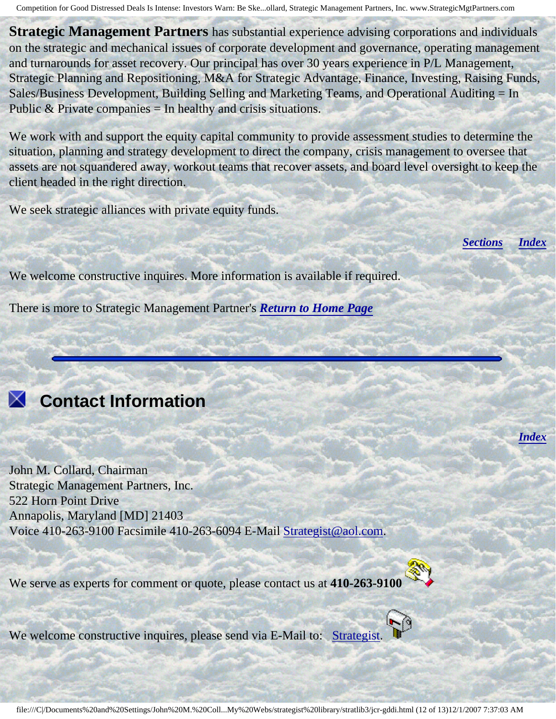**Strategic Management Partners** has substantial experience advising corporations and individuals on the strategic and mechanical issues of corporate development and governance, operating management and turnarounds for asset recovery. Our principal has over 30 years experience in P/L Management, Strategic Planning and Repositioning, M&A for Strategic Advantage, Finance, Investing, Raising Funds, Sales/Business Development, Building Selling and Marketing Teams, and Operational Auditing = In Public  $&$  Private companies = In healthy and crisis situations.

We work with and support the equity capital community to provide assessment studies to determine the situation, planning and strategy development to direct the company, crisis management to oversee that assets are not squandered away, workout teams that recover assets, and board level oversight to keep the client headed in the right direction.

We seek strategic alliances with private equity funds.

*[Sections](#page-0-2) [Index](#page-0-3)*

*[Index](#page-0-3)*

We welcome constructive inquires. More information is available if required.

There is more to Strategic Management Partner's *[Return to Home Page](http://members.aol.com/strategist/home.html#TOP)*

# <span id="page-11-0"></span> **Contact Information**

John M. Collard, Chairman Strategic Management Partners, Inc. 522 Horn Point Drive Annapolis, Maryland [MD] 21403 Voice 410-263-9100 Facsimile 410-263-6094 E-Mail [Strategist@aol.com](mailto:Strategist@aol.com?subject=SMPlibrary/feature articles).

We serve as experts for comment or quote, please contact us at **410-263-9100**



We welcome constructive inquires, please send via E-Mail to: [Strategist.](mailto:Strategist@aol.com?subject=SMPlibrary/feature articles)